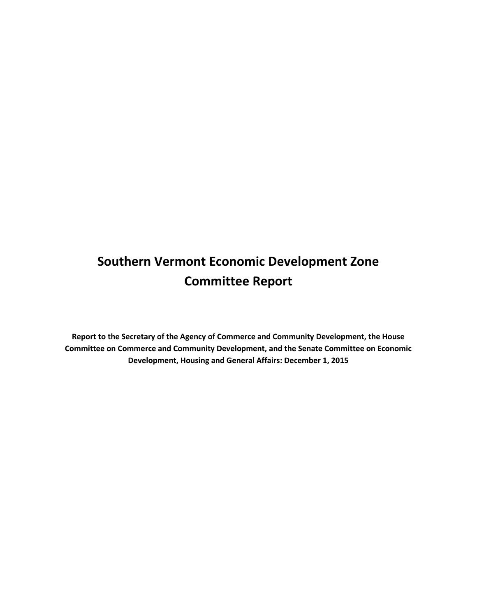# **Southern Vermont Economic Development Zone Committee Report**

**Report to the Secretary of the Agency of Commerce and Community Development, the House Committee on Commerce and Community Development, and the Senate Committee on Economic Development, Housing and General Affairs: December 1, 2015**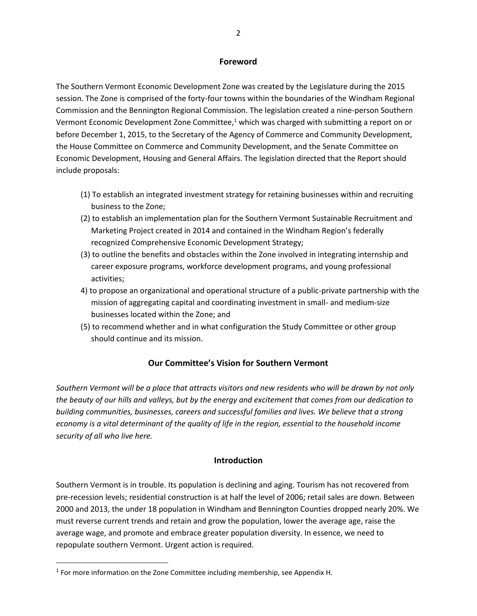#### **Foreword**

The Southern Vermont Economic Development Zone was created by the Legislature during the 2015 session. The Zone is comprised of the forty-four towns within the boundaries of the Windham Regional Commission and the Bennington Regional Commission. The legislation created a nine-person Southern Vermont Economic Development Zone Committee, $1$  which was charged with submitting a report on or before December 1, 2015, to the Secretary of the Agency of Commerce and Community Development, the House Committee on Commerce and Community Development, and the Senate Committee on Economic Development, Housing and General Affairs. The legislation directed that the Report should include proposals:

- (1) To establish an integrated investment strategy for retaining businesses within and recruiting business to the Zone;
- (2) to establish an implementation plan for the Southern Vermont Sustainable Recruitment and Marketing Project created in 2014 and contained in the Windham Region's federally recognized Comprehensive Economic Development Strategy;
- (3) to outline the benefits and obstacles within the Zone involved in integrating internship and career exposure programs, workforce development programs, and young professional activities;
- 4) to propose an organizational and operational structure of a public-private partnership with the mission of aggregating capital and coordinating investment in small- and medium-size businesses located within the Zone; and
- (5) to recommend whether and in what configuration the Study Committee or other group should continue and its mission.

#### **Our Committee's Vision for Southern Vermont**

*Southern Vermont will be a place that attracts visitors and new residents who will be drawn by not only the beauty of our hills and valleys, but by the energy and excitement that comes from our dedication to building communities, businesses, careers and successful families and lives. We believe that a strong economy is a vital determinant of the quality of life in the region, essential to the household income security of all who live here.*

#### **Introduction**

Southern Vermont is in trouble. Its population is declining and aging. Tourism has not recovered from pre-recession levels; residential construction is at half the level of 2006; retail sales are down. Between 2000 and 2013, the under 18 population in Windham and Bennington Counties dropped nearly 20%. We must reverse current trends and retain and grow the population, lower the average age, raise the average wage, and promote and embrace greater population diversity. In essence, we need to repopulate southern Vermont. Urgent action is required.

 $\overline{\phantom{a}}$ 

<sup>&</sup>lt;sup>1</sup> For more information on the Zone Committee including membership, see Appendix H.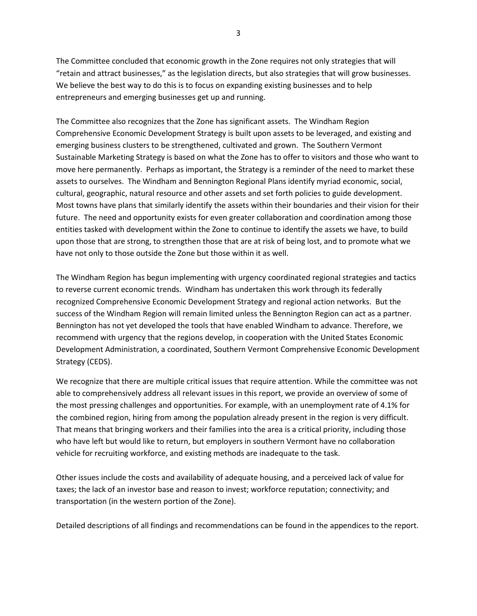The Committee concluded that economic growth in the Zone requires not only strategies that will "retain and attract businesses," as the legislation directs, but also strategies that will grow businesses. We believe the best way to do this is to focus on expanding existing businesses and to help entrepreneurs and emerging businesses get up and running.

The Committee also recognizes that the Zone has significant assets. The Windham Region Comprehensive Economic Development Strategy is built upon assets to be leveraged, and existing and emerging business clusters to be strengthened, cultivated and grown. The Southern Vermont Sustainable Marketing Strategy is based on what the Zone has to offer to visitors and those who want to move here permanently. Perhaps as important, the Strategy is a reminder of the need to market these assets to ourselves. The Windham and Bennington Regional Plans identify myriad economic, social, cultural, geographic, natural resource and other assets and set forth policies to guide development. Most towns have plans that similarly identify the assets within their boundaries and their vision for their future. The need and opportunity exists for even greater collaboration and coordination among those entities tasked with development within the Zone to continue to identify the assets we have, to build upon those that are strong, to strengthen those that are at risk of being lost, and to promote what we have not only to those outside the Zone but those within it as well.

The Windham Region has begun implementing with urgency coordinated regional strategies and tactics to reverse current economic trends. Windham has undertaken this work through its federally recognized Comprehensive Economic Development Strategy and regional action networks. But the success of the Windham Region will remain limited unless the Bennington Region can act as a partner. Bennington has not yet developed the tools that have enabled Windham to advance. Therefore, we recommend with urgency that the regions develop, in cooperation with the United States Economic Development Administration, a coordinated, Southern Vermont Comprehensive Economic Development Strategy (CEDS).

We recognize that there are multiple critical issues that require attention. While the committee was not able to comprehensively address all relevant issues in this report, we provide an overview of some of the most pressing challenges and opportunities. For example, with an unemployment rate of 4.1% for the combined region, hiring from among the population already present in the region is very difficult. That means that bringing workers and their families into the area is a critical priority, including those who have left but would like to return, but employers in southern Vermont have no collaboration vehicle for recruiting workforce, and existing methods are inadequate to the task.

Other issues include the costs and availability of adequate housing, and a perceived lack of value for taxes; the lack of an investor base and reason to invest; workforce reputation; connectivity; and transportation (in the western portion of the Zone).

Detailed descriptions of all findings and recommendations can be found in the appendices to the report.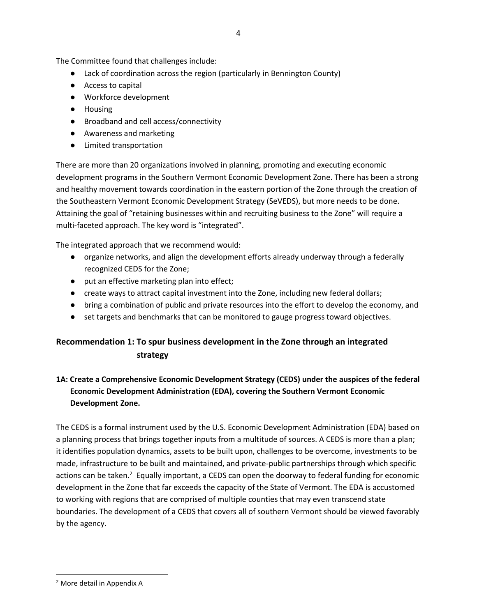The Committee found that challenges include:

- Lack of coordination across the region (particularly in Bennington County)
- Access to capital
- Workforce development
- Housing
- Broadband and cell access/connectivity
- Awareness and marketing
- Limited transportation

There are more than 20 organizations involved in planning, promoting and executing economic development programs in the Southern Vermont Economic Development Zone. There has been a strong and healthy movement towards coordination in the eastern portion of the Zone through the creation of the Southeastern Vermont Economic Development Strategy (SeVEDS), but more needs to be done. Attaining the goal of "retaining businesses within and recruiting business to the Zone" will require a multi-faceted approach. The key word is "integrated".

The integrated approach that we recommend would:

- organize networks, and align the development efforts already underway through a federally recognized CEDS for the Zone;
- put an effective marketing plan into effect;
- create ways to attract capital investment into the Zone, including new federal dollars;
- bring a combination of public and private resources into the effort to develop the economy, and
- set targets and benchmarks that can be monitored to gauge progress toward objectives.

# **Recommendation 1: To spur business development in the Zone through an integrated strategy**

# **1A: Create a Comprehensive Economic Development Strategy (CEDS) under the auspices of the federal Economic Development Administration (EDA), covering the Southern Vermont Economic Development Zone.**

The CEDS is a formal instrument used by the U.S. Economic Development Administration (EDA) based on a planning process that brings together inputs from a multitude of sources. A CEDS is more than a plan; it identifies population dynamics, assets to be built upon, challenges to be overcome, investments to be made, infrastructure to be built and maintained, and private-public partnerships through which specific actions can be taken.<sup>2</sup> Equally important, a CEDS can open the doorway to federal funding for economic development in the Zone that far exceeds the capacity of the State of Vermont. The EDA is accustomed to working with regions that are comprised of multiple counties that may even transcend state boundaries. The development of a CEDS that covers all of southern Vermont should be viewed favorably by the agency.

 $\overline{\phantom{a}}$ 

<sup>2</sup> More detail in Appendix A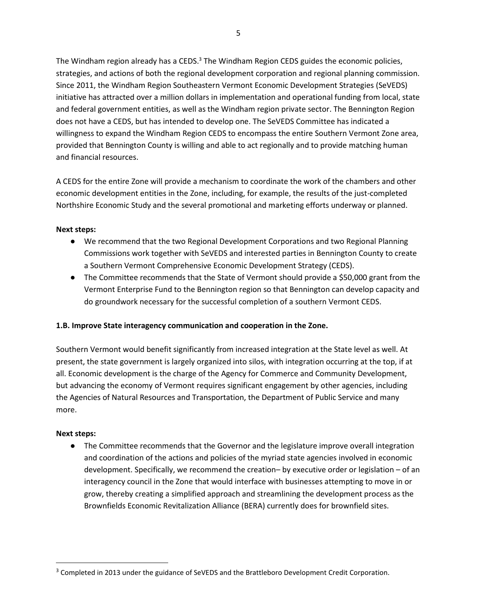The Windham region already has a CEDS. $3$  The Windham Region CEDS guides the economic policies, strategies, and actions of both the regional development corporation and regional planning commission. Since 2011, the Windham Region Southeastern Vermont Economic Development Strategies (SeVEDS) initiative has attracted over a million dollars in implementation and operational funding from local, state and federal government entities, as well as the Windham region private sector. The Bennington Region does not have a CEDS, but has intended to develop one. The SeVEDS Committee has indicated a willingness to expand the Windham Region CEDS to encompass the entire Southern Vermont Zone area, provided that Bennington County is willing and able to act regionally and to provide matching human and financial resources.

A CEDS for the entire Zone will provide a mechanism to coordinate the work of the chambers and other economic development entities in the Zone, including, for example, the results of the just-completed Northshire Economic Study and the several promotional and marketing efforts underway or planned.

### **Next steps:**

- We recommend that the two Regional Development Corporations and two Regional Planning Commissions work together with SeVEDS and interested parties in Bennington County to create a Southern Vermont Comprehensive Economic Development Strategy (CEDS).
- The Committee recommends that the State of Vermont should provide a \$50,000 grant from the Vermont Enterprise Fund to the Bennington region so that Bennington can develop capacity and do groundwork necessary for the successful completion of a southern Vermont CEDS.

# **1.B. Improve State interagency communication and cooperation in the Zone.**

Southern Vermont would benefit significantly from increased integration at the State level as well. At present, the state government is largely organized into silos, with integration occurring at the top, if at all. Economic development is the charge of the Agency for Commerce and Community Development, but advancing the economy of Vermont requires significant engagement by other agencies, including the Agencies of Natural Resources and Transportation, the Department of Public Service and many more.

#### **Next steps:**

 $\overline{\phantom{a}}$ 

● The Committee recommends that the Governor and the legislature improve overall integration and coordination of the actions and policies of the myriad state agencies involved in economic development. Specifically, we recommend the creation– by executive order or legislation – of an interagency council in the Zone that would interface with businesses attempting to move in or grow, thereby creating a simplified approach and streamlining the development process as the Brownfields Economic Revitalization Alliance (BERA) currently does for brownfield sites.

<sup>&</sup>lt;sup>3</sup> Completed in 2013 under the guidance of SeVEDS and the Brattleboro Development Credit Corporation.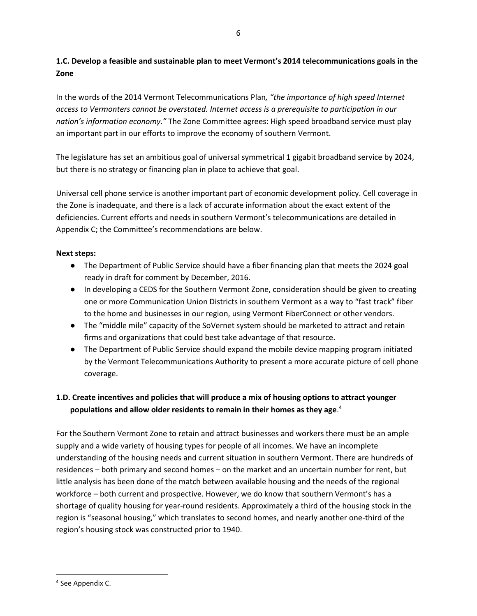# **1.C. Develop a feasible and sustainable plan to meet Vermont's 2014 telecommunications goals in the Zone**

In the words of the 2014 Vermont Telecommunications Plan*, "the importance of high speed Internet access to Vermonters cannot be overstated. Internet access is a prerequisite to participation in our nation's information economy."* The Zone Committee agrees: High speed broadband service must play an important part in our efforts to improve the economy of southern Vermont.

The legislature has set an ambitious goal of universal symmetrical 1 gigabit broadband service by 2024, but there is no strategy or financing plan in place to achieve that goal.

Universal cell phone service is another important part of economic development policy. Cell coverage in the Zone is inadequate, and there is a lack of accurate information about the exact extent of the deficiencies. Current efforts and needs in southern Vermont's telecommunications are detailed in Appendix C; the Committee's recommendations are below.

# **Next steps:**

- The Department of Public Service should have a fiber financing plan that meets the 2024 goal ready in draft for comment by December, 2016.
- In developing a CEDS for the Southern Vermont Zone, consideration should be given to creating one or more Communication Union Districts in southern Vermont as a way to "fast track" fiber to the home and businesses in our region, using Vermont FiberConnect or other vendors.
- The "middle mile" capacity of the SoVernet system should be marketed to attract and retain firms and organizations that could best take advantage of that resource.
- The Department of Public Service should expand the mobile device mapping program initiated by the Vermont Telecommunications Authority to present a more accurate picture of cell phone coverage.

# **1.D. Create incentives and policies that will produce a mix of housing options to attract younger populations and allow older residents to remain in their homes as they age**. 4

For the Southern Vermont Zone to retain and attract businesses and workers there must be an ample supply and a wide variety of housing types for people of all incomes. We have an incomplete understanding of the housing needs and current situation in southern Vermont. There are hundreds of residences – both primary and second homes – on the market and an uncertain number for rent, but little analysis has been done of the match between available housing and the needs of the regional workforce – both current and prospective. However, we do know that southern Vermont's has a shortage of quality housing for year-round residents. Approximately a third of the housing stock in the region is "seasonal housing," which translates to second homes, and nearly another one-third of the region's housing stock was constructed prior to 1940.

 $\overline{\phantom{a}}$ 

<sup>4</sup> See Appendix C.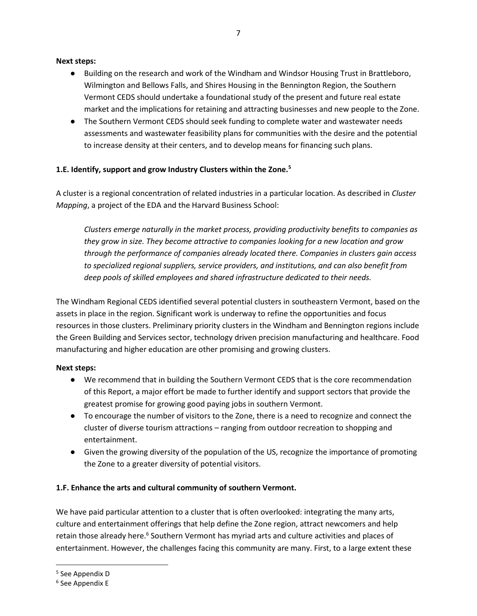#### **Next steps:**

- Building on the research and work of the Windham and Windsor Housing Trust in Brattleboro, Wilmington and Bellows Falls, and Shires Housing in the Bennington Region, the Southern Vermont CEDS should undertake a foundational study of the present and future real estate market and the implications for retaining and attracting businesses and new people to the Zone.
- The Southern Vermont CEDS should seek funding to complete water and wastewater needs assessments and wastewater feasibility plans for communities with the desire and the potential to increase density at their centers, and to develop means for financing such plans.

# **1.E. Identify, support and grow Industry Clusters within the Zone.<sup>5</sup>**

A cluster is a regional concentration of related industries in a particular location. As described in *Cluster Mapping*, a project of the EDA and the Harvard Business School:

*Clusters emerge naturally in the market process, providing productivity benefits to companies as they grow in size. They become attractive to companies looking for a new location and grow through the performance of companies already located there. Companies in clusters gain access to specialized regional suppliers, service providers, and institutions, and can also benefit from deep pools of skilled employees and shared infrastructure dedicated to their needs.*

The Windham Regional CEDS identified several potential clusters in southeastern Vermont, based on the assets in place in the region. Significant work is underway to refine the opportunities and focus resources in those clusters. Preliminary priority clusters in the Windham and Bennington regions include the Green Building and Services sector, technology driven precision manufacturing and healthcare. Food manufacturing and higher education are other promising and growing clusters.

# **Next steps:**

- We recommend that in building the Southern Vermont CEDS that is the core recommendation of this Report, a major effort be made to further identify and support sectors that provide the greatest promise for growing good paying jobs in southern Vermont.
- To encourage the number of visitors to the Zone, there is a need to recognize and connect the cluster of diverse tourism attractions – ranging from outdoor recreation to shopping and entertainment.
- Given the growing diversity of the population of the US, recognize the importance of promoting the Zone to a greater diversity of potential visitors.

# **1.F. Enhance the arts and cultural community of southern Vermont.**

We have paid particular attention to a cluster that is often overlooked: integrating the many arts, culture and entertainment offerings that help define the Zone region, attract newcomers and help retain those already here.<sup>6</sup> Southern Vermont has myriad arts and culture activities and places of entertainment. However, the challenges facing this community are many. First, to a large extent these

l

<sup>5</sup> See Appendix D

<sup>6</sup> See Appendix E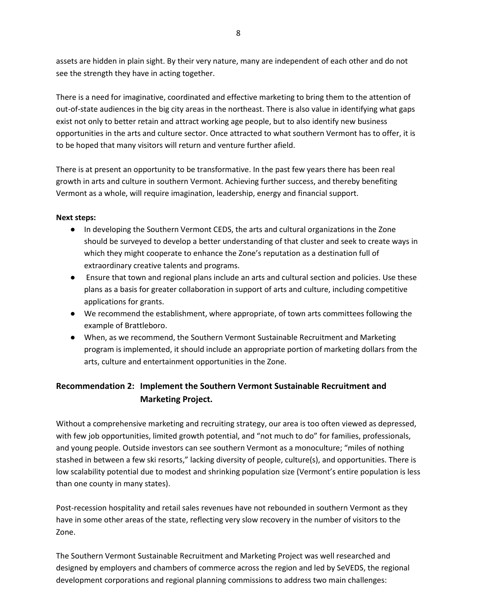assets are hidden in plain sight. By their very nature, many are independent of each other and do not see the strength they have in acting together.

There is a need for imaginative, coordinated and effective marketing to bring them to the attention of out-of-state audiences in the big city areas in the northeast. There is also value in identifying what gaps exist not only to better retain and attract working age people, but to also identify new business opportunities in the arts and culture sector. Once attracted to what southern Vermont has to offer, it is to be hoped that many visitors will return and venture further afield.

There is at present an opportunity to be transformative. In the past few years there has been real growth in arts and culture in southern Vermont. Achieving further success, and thereby benefiting Vermont as a whole, will require imagination, leadership, energy and financial support.

# **Next steps:**

- In developing the Southern Vermont CEDS, the arts and cultural organizations in the Zone should be surveyed to develop a better understanding of that cluster and seek to create ways in which they might cooperate to enhance the Zone's reputation as a destination full of extraordinary creative talents and programs.
- Ensure that town and regional plans include an arts and cultural section and policies. Use these plans as a basis for greater collaboration in support of arts and culture, including competitive applications for grants.
- We recommend the establishment, where appropriate, of town arts committees following the example of Brattleboro.
- When, as we recommend, the Southern Vermont Sustainable Recruitment and Marketing program is implemented, it should include an appropriate portion of marketing dollars from the arts, culture and entertainment opportunities in the Zone.

# **Recommendation 2: Implement the Southern Vermont Sustainable Recruitment and Marketing Project.**

Without a comprehensive marketing and recruiting strategy, our area is too often viewed as depressed, with few job opportunities, limited growth potential, and "not much to do" for families, professionals, and young people. Outside investors can see southern Vermont as a monoculture; "miles of nothing stashed in between a few ski resorts," lacking diversity of people, culture(s), and opportunities. There is low scalability potential due to modest and shrinking population size (Vermont's entire population is less than one county in many states).

Post-recession hospitality and retail sales revenues have not rebounded in southern Vermont as they have in some other areas of the state, reflecting very slow recovery in the number of visitors to the Zone.

The Southern Vermont Sustainable Recruitment and Marketing Project was well researched and designed by employers and chambers of commerce across the region and led by SeVEDS, the regional development corporations and regional planning commissions to address two main challenges: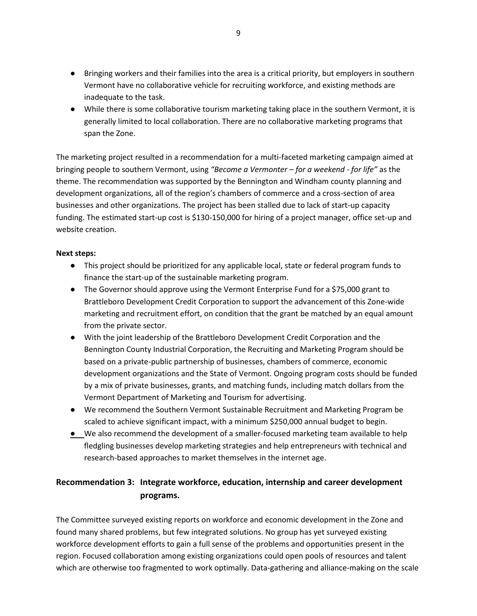- Bringing workers and their families into the area is a critical priority, but employers in southern Vermont have no collaborative vehicle for recruiting workforce, and existing methods are inadequate to the task.
- While there is some collaborative tourism marketing taking place in the southern Vermont, it is generally limited to local collaboration. There are no collaborative marketing programs that span the Zone.

The marketing project resulted in a recommendation for a multi-faceted marketing campaign aimed at bringing people to southern Vermont, using *"Become a Vermonter – for a weekend - for life"* as the theme. The recommendation was supported by the Bennington and Windham county planning and development organizations, all of the region's chambers of commerce and a cross-section of area businesses and other organizations. The project has been stalled due to lack of start-up capacity funding. The estimated start-up cost is \$130-150,000 for hiring of a project manager, office set-up and website creation.

#### **Next steps:**

- This project should be prioritized for any applicable local, state or federal program funds to finance the start-up of the sustainable marketing program.
- The Governor should approve using the Vermont Enterprise Fund for a \$75,000 grant to Brattleboro Development Credit Corporation to support the advancement of this Zone-wide marketing and recruitment effort, on condition that the grant be matched by an equal amount from the private sector.
- With the joint leadership of the Brattleboro Development Credit Corporation and the Bennington County Industrial Corporation, the Recruiting and Marketing Program should be based on a private-public partnership of businesses, chambers of commerce, economic development organizations and the State of Vermont. Ongoing program costs should be funded by a mix of private businesses, grants, and matching funds, including match dollars from the Vermont Department of Marketing and Tourism for advertising.
- We recommend the Southern Vermont Sustainable Recruitment and Marketing Program be scaled to achieve significant impact, with a minimum \$250,000 annual budget to begin.
- We also recommend the development of a smaller-focused marketing team available to help fledgling businesses develop marketing strategies and help entrepreneurs with technical and research-based approaches to market themselves in the internet age.

# **Recommendation 3: Integrate workforce, education, internship and career development programs.**

The Committee surveyed existing reports on workforce and economic development in the Zone and found many shared problems, but few integrated solutions. No group has yet surveyed existing workforce development efforts to gain a full sense of the problems and opportunities present in the region. Focused collaboration among existing organizations could open pools of resources and talent which are otherwise too fragmented to work optimally. Data-gathering and alliance-making on the scale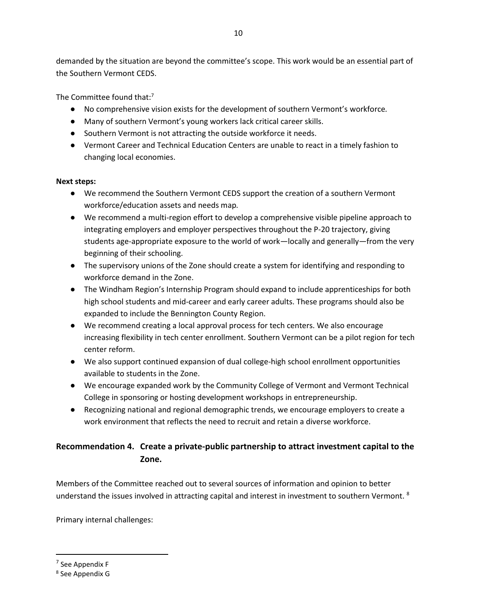demanded by the situation are beyond the committee's scope. This work would be an essential part of the Southern Vermont CEDS.

The Committee found that:<sup>7</sup>

- No comprehensive vision exists for the development of southern Vermont's workforce*.*
- Many of southern Vermont's young workers lack critical career skills.
- Southern Vermont is not attracting the outside workforce it needs.
- Vermont Career and Technical Education Centers are unable to react in a timely fashion to changing local economies.

# **Next steps:**

- We recommend the Southern Vermont CEDS support the creation of a southern Vermont workforce/education assets and needs map*.*
- We recommend a multi-region effort to develop a comprehensive visible pipeline approach to integrating employers and employer perspectives throughout the P-20 trajectory, giving students age-appropriate exposure to the world of work—locally and generally—from the very beginning of their schooling.
- The supervisory unions of the Zone should create a system for identifying and responding to workforce demand in the Zone.
- The Windham Region's Internship Program should expand to include apprenticeships for both high school students and mid-career and early career adults. These programs should also be expanded to include the Bennington County Region.
- We recommend creating a local approval process for tech centers. We also encourage increasing flexibility in tech center enrollment. Southern Vermont can be a pilot region for tech center reform.
- We also support continued expansion of dual college-high school enrollment opportunities available to students in the Zone.
- We encourage expanded work by the Community College of Vermont and Vermont Technical College in sponsoring or hosting development workshops in entrepreneurship.
- Recognizing national and regional demographic trends, we encourage employers to create a work environment that reflects the need to recruit and retain a diverse workforce.

# **Recommendation 4. Create a private-public partnership to attract investment capital to the Zone.**

Members of the Committee reached out to several sources of information and opinion to better understand the issues involved in attracting capital and interest in investment to southern Vermont. <sup>8</sup>

Primary internal challenges:

 $\overline{\phantom{a}}$ 

<sup>&</sup>lt;sup>7</sup> See Appendix F

<sup>8</sup> See Appendix G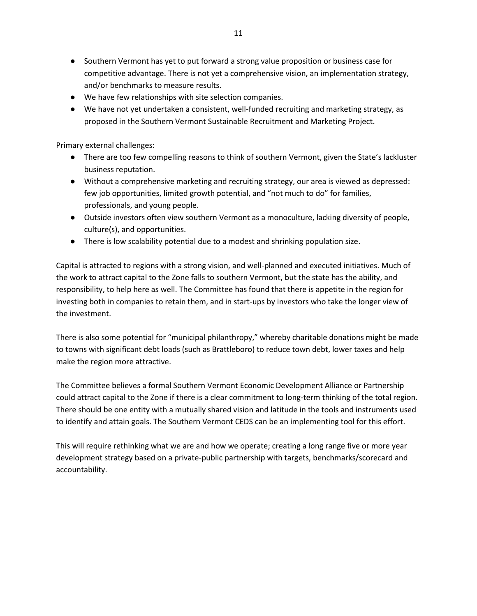- Southern Vermont has yet to put forward a strong value proposition or business case for competitive advantage. There is not yet a comprehensive vision, an implementation strategy, and/or benchmarks to measure results.
- We have few relationships with site selection companies.
- We have not yet undertaken a consistent, well-funded recruiting and marketing strategy, as proposed in the Southern Vermont Sustainable Recruitment and Marketing Project.

Primary external challenges:

- There are too few compelling reasons to think of southern Vermont, given the State's lackluster business reputation.
- Without a comprehensive marketing and recruiting strategy, our area is viewed as depressed: few job opportunities, limited growth potential, and "not much to do" for families, professionals, and young people.
- Outside investors often view southern Vermont as a monoculture, lacking diversity of people, culture(s), and opportunities.
- There is low scalability potential due to a modest and shrinking population size.

Capital is attracted to regions with a strong vision, and well-planned and executed initiatives. Much of the work to attract capital to the Zone falls to southern Vermont, but the state has the ability, and responsibility, to help here as well. The Committee has found that there is appetite in the region for investing both in companies to retain them, and in start-ups by investors who take the longer view of the investment.

There is also some potential for "municipal philanthropy," whereby charitable donations might be made to towns with significant debt loads (such as Brattleboro) to reduce town debt, lower taxes and help make the region more attractive.

The Committee believes a formal Southern Vermont Economic Development Alliance or Partnership could attract capital to the Zone if there is a clear commitment to long-term thinking of the total region. There should be one entity with a mutually shared vision and latitude in the tools and instruments used to identify and attain goals. The Southern Vermont CEDS can be an implementing tool for this effort.

This will require rethinking what we are and how we operate; creating a long range five or more year development strategy based on a private-public partnership with targets, benchmarks/scorecard and accountability.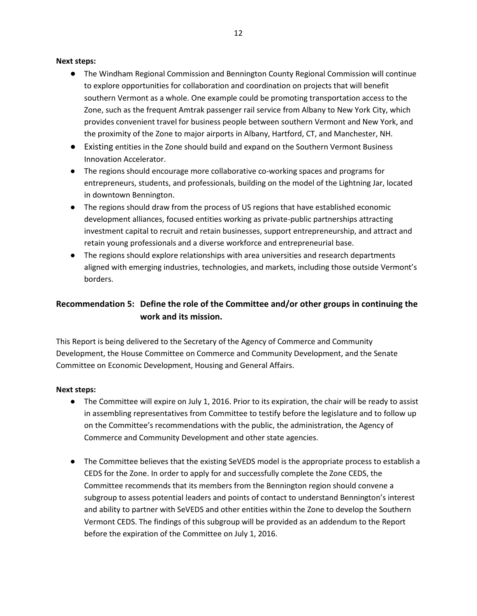#### **Next steps:**

- The Windham Regional Commission and Bennington County Regional Commission will continue to explore opportunities for collaboration and coordination on projects that will benefit southern Vermont as a whole. One example could be promoting transportation access to the Zone, such as the frequent Amtrak passenger rail service from Albany to New York City, which provides convenient travel for business people between southern Vermont and New York, and the proximity of the Zone to major airports in Albany, Hartford, CT, and Manchester, NH.
- Existing entities in the Zone should build and expand on the Southern Vermont Business Innovation Accelerator.
- The regions should encourage more collaborative co-working spaces and programs for entrepreneurs, students, and professionals, building on the model of the Lightning Jar, located in downtown Bennington.
- The regions should draw from the process of US regions that have established economic development alliances, focused entities working as private-public partnerships attracting investment capital to recruit and retain businesses, support entrepreneurship, and attract and retain young professionals and a diverse workforce and entrepreneurial base.
- The regions should explore relationships with area universities and research departments aligned with emerging industries, technologies, and markets, including those outside Vermont's borders.

# **Recommendation 5: Define the role of the Committee and/or other groups in continuing the work and its mission.**

This Report is being delivered to the Secretary of the Agency of Commerce and Community Development, the House Committee on Commerce and Community Development, and the Senate Committee on Economic Development, Housing and General Affairs.

#### **Next steps:**

- The Committee will expire on July 1, 2016. Prior to its expiration, the chair will be ready to assist in assembling representatives from Committee to testify before the legislature and to follow up on the Committee's recommendations with the public, the administration, the Agency of Commerce and Community Development and other state agencies.
- The Committee believes that the existing SeVEDS model is the appropriate process to establish a CEDS for the Zone. In order to apply for and successfully complete the Zone CEDS, the Committee recommends that its members from the Bennington region should convene a subgroup to assess potential leaders and points of contact to understand Bennington's interest and ability to partner with SeVEDS and other entities within the Zone to develop the Southern Vermont CEDS. The findings of this subgroup will be provided as an addendum to the Report before the expiration of the Committee on July 1, 2016.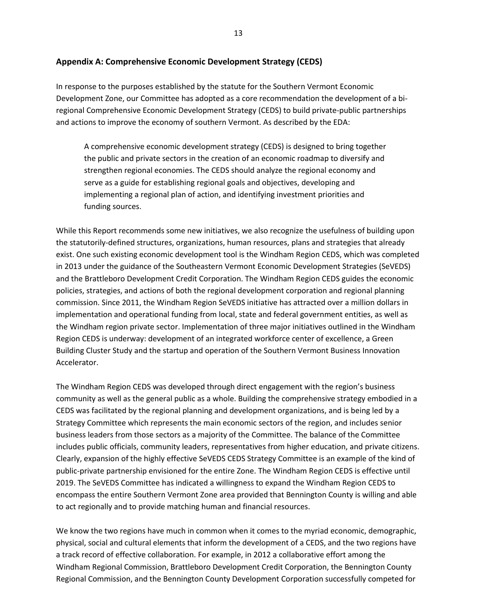#### **Appendix A: Comprehensive Economic Development Strategy (CEDS)**

In response to the purposes established by the statute for the Southern Vermont Economic Development Zone, our Committee has adopted as a core recommendation the development of a biregional Comprehensive Economic Development Strategy (CEDS) to build private-public partnerships and actions to improve the economy of southern Vermont. As described by the EDA:

A comprehensive economic development strategy (CEDS) is designed to bring together the public and private sectors in the creation of an economic roadmap to diversify and strengthen regional economies. The CEDS should analyze the regional economy and serve as a guide for establishing regional goals and objectives, developing and implementing a regional plan of action, and identifying investment priorities and funding sources.

While this Report recommends some new initiatives, we also recognize the usefulness of building upon the statutorily-defined structures, organizations, human resources, plans and strategies that already exist. One such existing economic development tool is the Windham Region CEDS, which was completed in 2013 under the guidance of the Southeastern Vermont Economic Development Strategies (SeVEDS) and the Brattleboro Development Credit Corporation. The Windham Region CEDS guides the economic policies, strategies, and actions of both the regional development corporation and regional planning commission. Since 2011, the Windham Region SeVEDS initiative has attracted over a million dollars in implementation and operational funding from local, state and federal government entities, as well as the Windham region private sector. Implementation of three major initiatives outlined in the Windham Region CEDS is underway: development of an integrated workforce center of excellence, a Green Building Cluster Study and the startup and operation of the Southern Vermont Business Innovation Accelerator.

The Windham Region CEDS was developed through direct engagement with the region's business community as well as the general public as a whole. Building the comprehensive strategy embodied in a CEDS was facilitated by the regional planning and development organizations, and is being led by a Strategy Committee which represents the main economic sectors of the region, and includes senior business leaders from those sectors as a majority of the Committee. The balance of the Committee includes public officials, community leaders, representatives from higher education, and private citizens. Clearly, expansion of the highly effective SeVEDS CEDS Strategy Committee is an example of the kind of public-private partnership envisioned for the entire Zone. The Windham Region CEDS is effective until 2019. The SeVEDS Committee has indicated a willingness to expand the Windham Region CEDS to encompass the entire Southern Vermont Zone area provided that Bennington County is willing and able to act regionally and to provide matching human and financial resources.

We know the two regions have much in common when it comes to the myriad economic, demographic, physical, social and cultural elements that inform the development of a CEDS, and the two regions have a track record of effective collaboration. For example, in 2012 a collaborative effort among the Windham Regional Commission, Brattleboro Development Credit Corporation, the Bennington County Regional Commission, and the Bennington County Development Corporation successfully competed for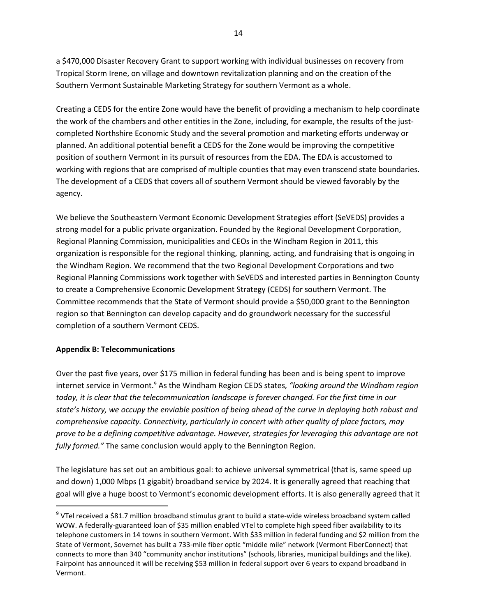a \$470,000 Disaster Recovery Grant to support working with individual businesses on recovery from Tropical Storm Irene, on village and downtown revitalization planning and on the creation of the Southern Vermont Sustainable Marketing Strategy for southern Vermont as a whole.

Creating a CEDS for the entire Zone would have the benefit of providing a mechanism to help coordinate the work of the chambers and other entities in the Zone, including, for example, the results of the justcompleted Northshire Economic Study and the several promotion and marketing efforts underway or planned. An additional potential benefit a CEDS for the Zone would be improving the competitive position of southern Vermont in its pursuit of resources from the EDA. The EDA is accustomed to working with regions that are comprised of multiple counties that may even transcend state boundaries. The development of a CEDS that covers all of southern Vermont should be viewed favorably by the agency.

We believe the Southeastern Vermont Economic Development Strategies effort (SeVEDS) provides a strong model for a public private organization. Founded by the Regional Development Corporation, Regional Planning Commission, municipalities and CEOs in the Windham Region in 2011, this organization is responsible for the regional thinking, planning, acting, and fundraising that is ongoing in the Windham Region. We recommend that the two Regional Development Corporations and two Regional Planning Commissions work together with SeVEDS and interested parties in Bennington County to create a Comprehensive Economic Development Strategy (CEDS) for southern Vermont. The Committee recommends that the State of Vermont should provide a \$50,000 grant to the Bennington region so that Bennington can develop capacity and do groundwork necessary for the successful completion of a southern Vermont CEDS.

#### **Appendix B: Telecommunications**

 $\overline{\phantom{a}}$ 

Over the past five years, over \$175 million in federal funding has been and is being spent to improve internet service in Vermont.<sup>9</sup> As the Windham Region CEDS states, *"looking around the Windham region today, it is clear that the telecommunication landscape is forever changed. For the first time in our state's history, we occupy the enviable position of being ahead of the curve in deploying both robust and comprehensive capacity. Connectivity, particularly in concert with other quality of place factors, may prove to be a defining competitive advantage. However, strategies for leveraging this advantage are not fully formed."* The same conclusion would apply to the Bennington Region.

The legislature has set out an ambitious goal: to achieve universal symmetrical (that is, same speed up and down) 1,000 Mbps (1 gigabit) broadband service by 2024. It is generally agreed that reaching that goal will give a huge boost to Vermont's economic development efforts. It is also generally agreed that it

<sup>&</sup>lt;sup>9</sup> VTel received a \$81.7 million broadband stimulus grant to build a state-wide wireless broadband system called WOW. A federally-guaranteed loan of \$35 million enabled VTel to complete high speed fiber availability to its telephone customers in 14 towns in southern Vermont. With \$33 million in federal funding and \$2 million from the State of Vermont, Sovernet has built a 733-mile fiber optic "middle mile" network (Vermont FiberConnect) that connects to more than 340 "community anchor institutions" (schools, libraries, municipal buildings and the like). Fairpoint has announced it will be receiving \$53 million in federal support over 6 years to expand broadband in Vermont.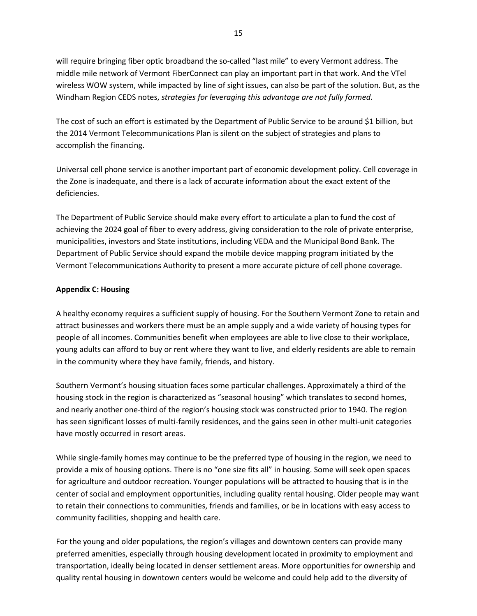will require bringing fiber optic broadband the so-called "last mile" to every Vermont address. The middle mile network of Vermont FiberConnect can play an important part in that work. And the VTel wireless WOW system, while impacted by line of sight issues, can also be part of the solution. But, as the Windham Region CEDS notes, *strategies for leveraging this advantage are not fully formed.*

The cost of such an effort is estimated by the Department of Public Service to be around \$1 billion, but the 2014 Vermont Telecommunications Plan is silent on the subject of strategies and plans to accomplish the financing.

Universal cell phone service is another important part of economic development policy. Cell coverage in the Zone is inadequate, and there is a lack of accurate information about the exact extent of the deficiencies.

The Department of Public Service should make every effort to articulate a plan to fund the cost of achieving the 2024 goal of fiber to every address, giving consideration to the role of private enterprise, municipalities, investors and State institutions, including VEDA and the Municipal Bond Bank. The Department of Public Service should expand the mobile device mapping program initiated by the Vermont Telecommunications Authority to present a more accurate picture of cell phone coverage.

#### **Appendix C: Housing**

A healthy economy requires a sufficient supply of housing. For the Southern Vermont Zone to retain and attract businesses and workers there must be an ample supply and a wide variety of housing types for people of all incomes. Communities benefit when employees are able to live close to their workplace, young adults can afford to buy or rent where they want to live, and elderly residents are able to remain in the community where they have family, friends, and history.

Southern Vermont's housing situation faces some particular challenges. Approximately a third of the housing stock in the region is characterized as "seasonal housing" which translates to second homes, and nearly another one-third of the region's housing stock was constructed prior to 1940. The region has seen significant losses of multi-family residences, and the gains seen in other multi-unit categories have mostly occurred in resort areas.

While single-family homes may continue to be the preferred type of housing in the region, we need to provide a mix of housing options. There is no "one size fits all" in housing. Some will seek open spaces for agriculture and outdoor recreation. Younger populations will be attracted to housing that is in the center of social and employment opportunities, including quality rental housing. Older people may want to retain their connections to communities, friends and families, or be in locations with easy access to community facilities, shopping and health care.

For the young and older populations, the region's villages and downtown centers can provide many preferred amenities, especially through housing development located in proximity to employment and transportation, ideally being located in denser settlement areas. More opportunities for ownership and quality rental housing in downtown centers would be welcome and could help add to the diversity of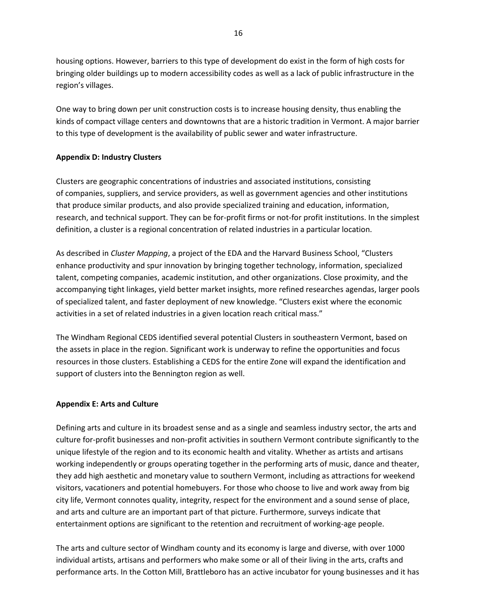housing options. However, barriers to this type of development do exist in the form of high costs for bringing older buildings up to modern accessibility codes as well as a lack of public infrastructure in the region's villages.

One way to bring down per unit construction costs is to increase housing density, thus enabling the kinds of compact village centers and downtowns that are a historic tradition in Vermont. A major barrier to this type of development is the availability of public sewer and water infrastructure.

### **Appendix D: Industry Clusters**

Clusters are geographic concentrations of industries and associated institutions, consisting of companies, suppliers, and service providers, as well as government agencies and other institutions that produce similar products, and also provide specialized training and education, information, research, and technical support. They can be for-profit firms or not-for profit institutions. In the simplest definition, a cluster is a regional concentration of related industries in a particular location.

As described in *Cluster Mapping*, a project of the EDA and the Harvard Business School, "Clusters enhance productivity and spur innovation by bringing together technology, information, specialized talent, competing companies, academic institution, and other organizations. Close proximity, and the accompanying tight linkages, yield better market insights, more refined researches agendas, larger pools of specialized talent, and faster deployment of new knowledge. "Clusters exist where the economic activities in a set of related industries in a given location reach critical mass."

The Windham Regional CEDS identified several potential Clusters in southeastern Vermont, based on the assets in place in the region. Significant work is underway to refine the opportunities and focus resources in those clusters. Establishing a CEDS for the entire Zone will expand the identification and support of clusters into the Bennington region as well.

#### **Appendix E: Arts and Culture**

Defining arts and culture in its broadest sense and as a single and seamless industry sector, the arts and culture for-profit businesses and non-profit activities in southern Vermont contribute significantly to the unique lifestyle of the region and to its economic health and vitality. Whether as artists and artisans working independently or groups operating together in the performing arts of music, dance and theater, they add high aesthetic and monetary value to southern Vermont, including as attractions for weekend visitors, vacationers and potential homebuyers. For those who choose to live and work away from big city life, Vermont connotes quality, integrity, respect for the environment and a sound sense of place, and arts and culture are an important part of that picture. Furthermore, surveys indicate that entertainment options are significant to the retention and recruitment of working-age people.

The arts and culture sector of Windham county and its economy is large and diverse, with over 1000 individual artists, artisans and performers who make some or all of their living in the arts, crafts and performance arts. In the Cotton Mill, Brattleboro has an active incubator for young businesses and it has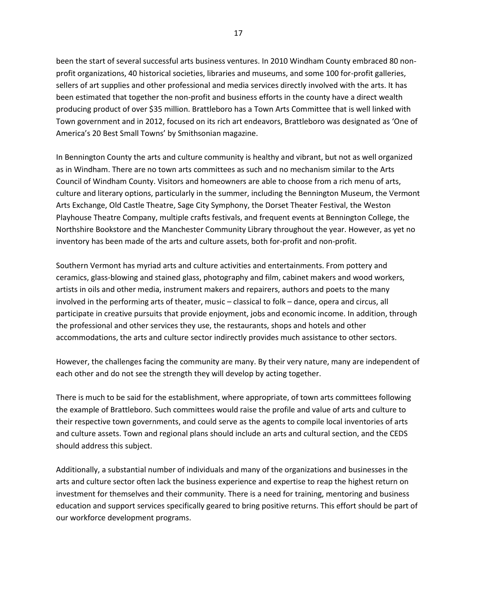been the start of several successful arts business ventures. In 2010 Windham County embraced 80 nonprofit organizations, 40 historical societies, libraries and museums, and some 100 for-profit galleries, sellers of art supplies and other professional and media services directly involved with the arts. It has been estimated that together the non-profit and business efforts in the county have a direct wealth producing product of over \$35 million. Brattleboro has a Town Arts Committee that is well linked with Town government and in 2012, focused on its rich art endeavors, Brattleboro was designated as 'One of America's 20 Best Small Towns' by Smithsonian magazine.

In Bennington County the arts and culture community is healthy and vibrant, but not as well organized as in Windham. There are no town arts committees as such and no mechanism similar to the Arts Council of Windham County. Visitors and homeowners are able to choose from a rich menu of arts, culture and literary options, particularly in the summer, including the Bennington Museum, the Vermont Arts Exchange, Old Castle Theatre, Sage City Symphony, the Dorset Theater Festival, the Weston Playhouse Theatre Company, multiple crafts festivals, and frequent events at Bennington College, the Northshire Bookstore and the Manchester Community Library throughout the year. However, as yet no inventory has been made of the arts and culture assets, both for-profit and non-profit.

Southern Vermont has myriad arts and culture activities and entertainments. From pottery and ceramics, glass-blowing and stained glass, photography and film, cabinet makers and wood workers, artists in oils and other media, instrument makers and repairers, authors and poets to the many involved in the performing arts of theater, music – classical to folk – dance, opera and circus, all participate in creative pursuits that provide enjoyment, jobs and economic income. In addition, through the professional and other services they use, the restaurants, shops and hotels and other accommodations, the arts and culture sector indirectly provides much assistance to other sectors.

However, the challenges facing the community are many. By their very nature, many are independent of each other and do not see the strength they will develop by acting together.

There is much to be said for the establishment, where appropriate, of town arts committees following the example of Brattleboro. Such committees would raise the profile and value of arts and culture to their respective town governments, and could serve as the agents to compile local inventories of arts and culture assets. Town and regional plans should include an arts and cultural section, and the CEDS should address this subject.

Additionally, a substantial number of individuals and many of the organizations and businesses in the arts and culture sector often lack the business experience and expertise to reap the highest return on investment for themselves and their community. There is a need for training, mentoring and business education and support services specifically geared to bring positive returns. This effort should be part of our workforce development programs.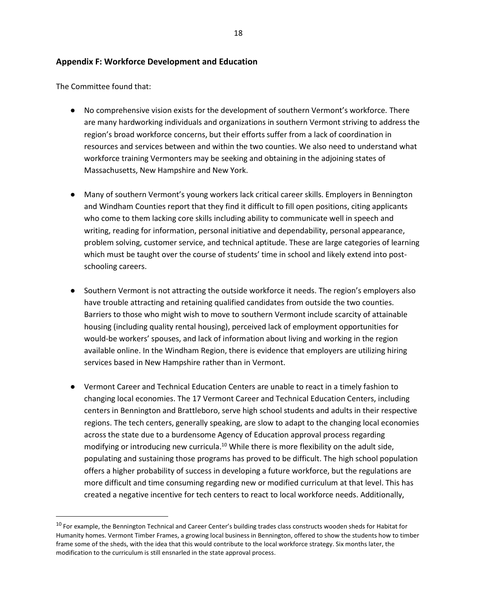#### **Appendix F: Workforce Development and Education**

The Committee found that:

l

- No comprehensive vision exists for the development of southern Vermont's workforce*.* There are many hardworking individuals and organizations in southern Vermont striving to address the region's broad workforce concerns, but their efforts suffer from a lack of coordination in resources and services between and within the two counties. We also need to understand what workforce training Vermonters may be seeking and obtaining in the adjoining states of Massachusetts, New Hampshire and New York.
- Many of southern Vermont's young workers lack critical career skills. Employers in Bennington and Windham Counties report that they find it difficult to fill open positions, citing applicants who come to them lacking core skills including ability to communicate well in speech and writing, reading for information, personal initiative and dependability, personal appearance, problem solving, customer service, and technical aptitude. These are large categories of learning which must be taught over the course of students' time in school and likely extend into postschooling careers.
- Southern Vermont is not attracting the outside workforce it needs. The region's employers also have trouble attracting and retaining qualified candidates from outside the two counties. Barriers to those who might wish to move to southern Vermont include scarcity of attainable housing (including quality rental housing), perceived lack of employment opportunities for would-be workers' spouses, and lack of information about living and working in the region available online. In the Windham Region, there is evidence that employers are utilizing hiring services based in New Hampshire rather than in Vermont.
- Vermont Career and Technical Education Centers are unable to react in a timely fashion to changing local economies. The 17 Vermont Career and Technical Education Centers, including centers in Bennington and Brattleboro, serve high school students and adults in their respective regions. The tech centers, generally speaking, are slow to adapt to the changing local economies across the state due to a burdensome Agency of Education approval process regarding modifying or introducing new curricula.<sup>10</sup> While there is more flexibility on the adult side, populating and sustaining those programs has proved to be difficult. The high school population offers a higher probability of success in developing a future workforce, but the regulations are more difficult and time consuming regarding new or modified curriculum at that level. This has created a negative incentive for tech centers to react to local workforce needs. Additionally,

<sup>&</sup>lt;sup>10</sup> For example, the Bennington Technical and Career Center's building trades class constructs wooden sheds for Habitat for Humanity homes. Vermont Timber Frames, a growing local business in Bennington, offered to show the students how to timber frame some of the sheds, with the idea that this would contribute to the local workforce strategy. Six months later, the modification to the curriculum is still ensnarled in the state approval process.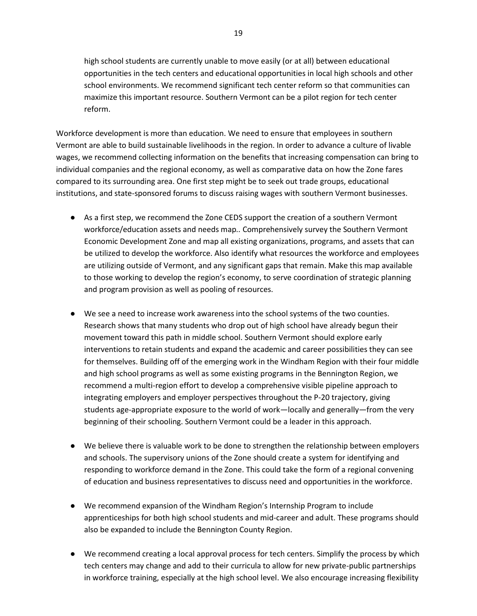high school students are currently unable to move easily (or at all) between educational opportunities in the tech centers and educational opportunities in local high schools and other school environments. We recommend significant tech center reform so that communities can maximize this important resource. Southern Vermont can be a pilot region for tech center reform.

Workforce development is more than education. We need to ensure that employees in southern Vermont are able to build sustainable livelihoods in the region. In order to advance a culture of livable wages, we recommend collecting information on the benefits that increasing compensation can bring to individual companies and the regional economy, as well as comparative data on how the Zone fares compared to its surrounding area. One first step might be to seek out trade groups, educational institutions, and state-sponsored forums to discuss raising wages with southern Vermont businesses.

- As a first step, we recommend the Zone CEDS support the creation of a southern Vermont workforce/education assets and needs map*..* Comprehensively survey the Southern Vermont Economic Development Zone and map all existing organizations, programs, and assets that can be utilized to develop the workforce. Also identify what resources the workforce and employees are utilizing outside of Vermont, and any significant gaps that remain. Make this map available to those working to develop the region's economy, to serve coordination of strategic planning and program provision as well as pooling of resources.
- We see a need to increase work awareness into the school systems of the two counties. Research shows that many students who drop out of high school have already begun their movement toward this path in middle school. Southern Vermont should explore early interventions to retain students and expand the academic and career possibilities they can see for themselves. Building off of the emerging work in the Windham Region with their four middle and high school programs as well as some existing programs in the Bennington Region, we recommend a multi-region effort to develop a comprehensive visible pipeline approach to integrating employers and employer perspectives throughout the P-20 trajectory, giving students age-appropriate exposure to the world of work—locally and generally—from the very beginning of their schooling. Southern Vermont could be a leader in this approach.
- We believe there is valuable work to be done to strengthen the relationship between employers and schools. The supervisory unions of the Zone should create a system for identifying and responding to workforce demand in the Zone. This could take the form of a regional convening of education and business representatives to discuss need and opportunities in the workforce.
- We recommend expansion of the Windham Region's Internship Program to include apprenticeships for both high school students and mid-career and adult. These programs should also be expanded to include the Bennington County Region.
- We recommend creating a local approval process for tech centers. Simplify the process by which tech centers may change and add to their curricula to allow for new private-public partnerships in workforce training, especially at the high school level. We also encourage increasing flexibility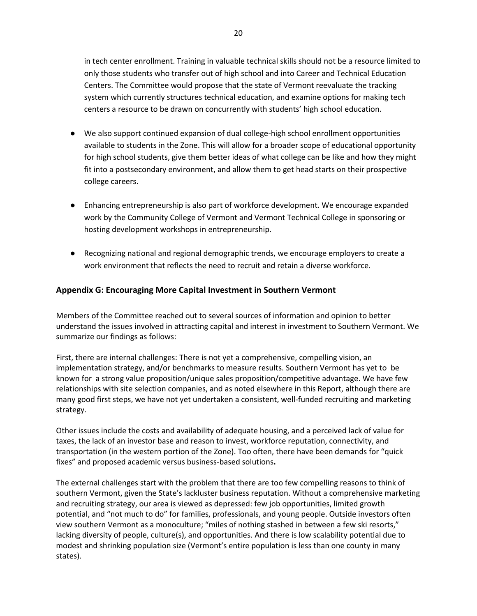in tech center enrollment. Training in valuable technical skills should not be a resource limited to only those students who transfer out of high school and into Career and Technical Education Centers. The Committee would propose that the state of Vermont reevaluate the tracking system which currently structures technical education, and examine options for making tech centers a resource to be drawn on concurrently with students' high school education.

- We also support continued expansion of dual college-high school enrollment opportunities available to students in the Zone. This will allow for a broader scope of educational opportunity for high school students, give them better ideas of what college can be like and how they might fit into a postsecondary environment, and allow them to get head starts on their prospective college careers.
- Enhancing entrepreneurship is also part of workforce development. We encourage expanded work by the Community College of Vermont and Vermont Technical College in sponsoring or hosting development workshops in entrepreneurship.
- Recognizing national and regional demographic trends, we encourage employers to create a work environment that reflects the need to recruit and retain a diverse workforce.

# **Appendix G: Encouraging More Capital Investment in Southern Vermont**

Members of the Committee reached out to several sources of information and opinion to better understand the issues involved in attracting capital and interest in investment to Southern Vermont. We summarize our findings as follows:

First, there are internal challenges: There is not yet a comprehensive, compelling vision, an implementation strategy, and/or benchmarks to measure results. Southern Vermont has yet to be known for a strong value proposition/unique sales proposition/competitive advantage. We have few relationships with site selection companies, and as noted elsewhere in this Report, although there are many good first steps, we have not yet undertaken a consistent, well-funded recruiting and marketing strategy.

Other issues include the costs and availability of adequate housing, and a perceived lack of value for taxes, the lack of an investor base and reason to invest, workforce reputation, connectivity, and transportation (in the western portion of the Zone). Too often, there have been demands for "quick fixes" and proposed academic versus business-based solutions**.**

The external challenges start with the problem that there are too few compelling reasons to think of southern Vermont, given the State's lackluster business reputation. Without a comprehensive marketing and recruiting strategy, our area is viewed as depressed: few job opportunities, limited growth potential, and "not much to do" for families, professionals, and young people. Outside investors often view southern Vermont as a monoculture; "miles of nothing stashed in between a few ski resorts," lacking diversity of people, culture(s), and opportunities. And there is low scalability potential due to modest and shrinking population size (Vermont's entire population is less than one county in many states).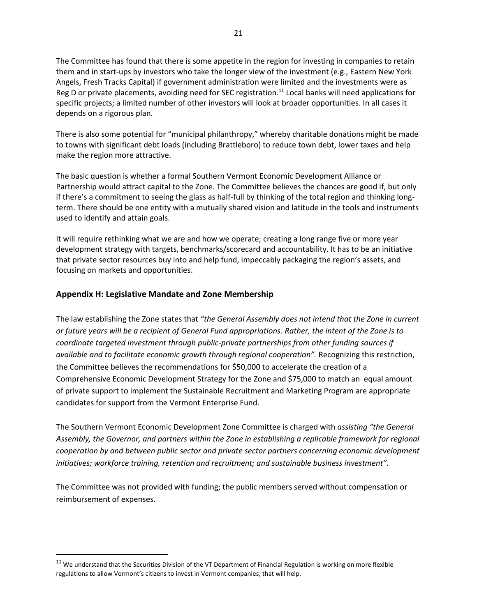The Committee has found that there is some appetite in the region for investing in companies to retain them and in start-ups by investors who take the longer view of the investment (e.g., Eastern New York Angels, Fresh Tracks Capital) if government administration were limited and the investments were as Reg D or private placements, avoiding need for SEC registration.<sup>11</sup> Local banks will need applications for specific projects; a limited number of other investors will look at broader opportunities. In all cases it depends on a rigorous plan.

There is also some potential for "municipal philanthropy," whereby charitable donations might be made to towns with significant debt loads (including Brattleboro) to reduce town debt, lower taxes and help make the region more attractive.

The basic question is whether a formal Southern Vermont Economic Development Alliance or Partnership would attract capital to the Zone. The Committee believes the chances are good if, but only if there's a commitment to seeing the glass as half-full by thinking of the total region and thinking longterm. There should be one entity with a mutually shared vision and latitude in the tools and instruments used to identify and attain goals.

It will require rethinking what we are and how we operate; creating a long range five or more year development strategy with targets, benchmarks/scorecard and accountability. It has to be an initiative that private sector resources buy into and help fund, impeccably packaging the region's assets, and focusing on markets and opportunities.

# **Appendix H: Legislative Mandate and Zone Membership**

 $\overline{\phantom{a}}$ 

The law establishing the Zone states that *"the General Assembly does not intend that the Zone in current or future years will be a recipient of General Fund appropriations. Rather, the intent of the Zone is to coordinate targeted investment through public-private partnerships from other funding sources if available and to facilitate economic growth through regional cooperation".* Recognizing this restriction, the Committee believes the recommendations for \$50,000 to accelerate the creation of a Comprehensive Economic Development Strategy for the Zone and \$75,000 to match an equal amount of private support to implement the Sustainable Recruitment and Marketing Program are appropriate candidates for support from the Vermont Enterprise Fund.

The Southern Vermont Economic Development Zone Committee is charged with *assisting "the General Assembly, the Governor, and partners within the Zone in establishing a replicable framework for regional cooperation by and between public sector and private sector partners concerning economic development initiatives; workforce training, retention and recruitment; and sustainable business investment".*

The Committee was not provided with funding; the public members served without compensation or reimbursement of expenses.

 $11$  We understand that the Securities Division of the VT Department of Financial Regulation is working on more flexible regulations to allow Vermont's citizens to invest in Vermont companies; that will help.